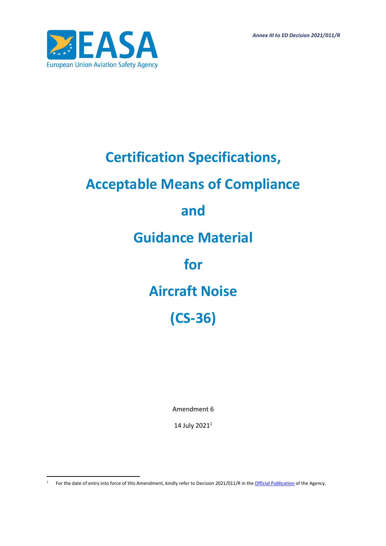*Annex III to ED Decision 2021/011/R*



# **Certification Specifications, Acceptable Means of Compliance and Guidance Material for Aircraft Noise (CS-36)**

Amendment 6

14 July  $2021^1$ 

<sup>&</sup>lt;sup>1</sup> For the date of entry into force of this Amendment, kindly refer to Decision 2021/011/R in the *[Official Publication](http://easa.europa.eu/official-publication/)* of the Agency.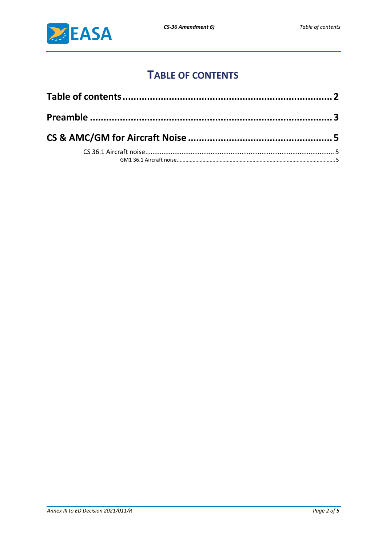

## **TABLE OF CONTENTS**

<span id="page-1-0"></span>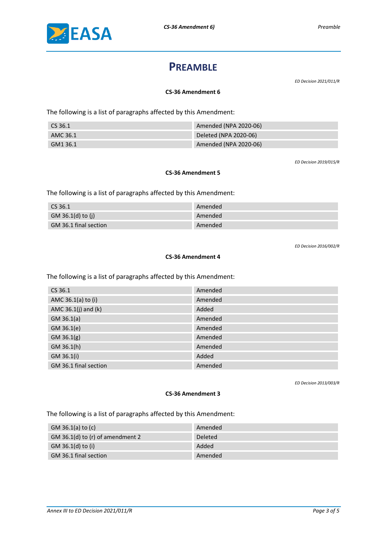<span id="page-2-0"></span>

## **PREAMBLE**

*ED Decision 2021/011/R*

#### **CS-36 Amendment 6**

The following is a list of paragraphs affected by this Amendment:

| CS 36.1  | Amended (NPA 2020-06) |
|----------|-----------------------|
| AMC 36.1 | Deleted (NPA 2020-06) |
| GM1 36.1 | Amended (NPA 2020-06) |

*ED Decision 2019/015/R*

#### **CS-36 Amendment 5**

The following is a list of paragraphs affected by this Amendment:

| CS 36.1               | Amended |
|-----------------------|---------|
| GM 36.1(d) to (j)     | Amended |
| GM 36.1 final section | Amended |

*ED Decision 2016/002/R*

#### **CS-36 Amendment 4**

The following is a list of paragraphs affected by this Amendment:

| CS 36.1                 | Amended |
|-------------------------|---------|
| AMC 36.1(a) to (i)      | Amended |
| AMC $36.1(j)$ and $(k)$ | Added   |
| $GM$ 36.1(a)            | Amended |
| GM 36.1(e)              | Amended |
| $GM$ 36.1(g)            | Amended |
| GM 36.1(h)              | Amended |
| GM 36.1(i)              | Added   |
| GM 36.1 final section   | Amended |

*ED Decision 2013/003/R*

#### **CS-36 Amendment 3**

The following is a list of paragraphs affected by this Amendment:

| GM 36.1(a) to $(c)$                | Amended        |
|------------------------------------|----------------|
| GM 36.1(d) to $(r)$ of amendment 2 | <b>Deleted</b> |
| GM 36.1(d) to (i)                  | Added          |
| GM 36.1 final section              | Amended        |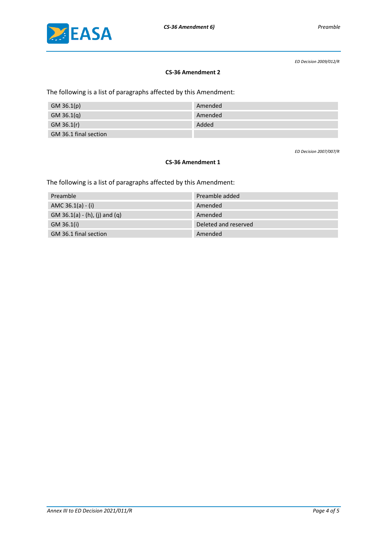

*ED Decision 2009/012/R*

#### **CS-36 Amendment 2**

The following is a list of paragraphs affected by this Amendment:

| GM 36.1(p)            | Amended |
|-----------------------|---------|
| $GM$ 36.1(q)          | Amended |
| GM 36.1(r)            | Added   |
| GM 36.1 final section |         |

*ED Decision 2007/007/R*

#### **CS-36 Amendment 1**

The following is a list of paragraphs affected by this Amendment:

| Preamble                      | Preamble added       |
|-------------------------------|----------------------|
| AMC $36.1(a) - (i)$           | Amended              |
| GM 36.1(a) - (h), (j) and (q) | Amended              |
| GM 36.1(i)                    | Deleted and reserved |
| GM 36.1 final section         | Amended              |